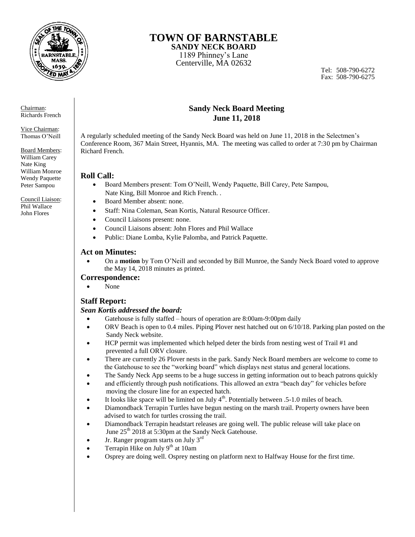

# **TOWN OF BARNSTABLE**

**SANDY NECK BOARD**  1189 Phinney's Lane Centerville, MA 02632

Tel: 508-790-6272 Fax: 508-790-6275

Chairman: Richards French

Vice Chairman: Thomas O'Neill

Board Members: William Carey Nate King William Monroe Wendy Paquette Peter Sampou

Council Liaison: Phil Wallace John Flores

### **Sandy Neck Board Meeting June 11, 2018**

A regularly scheduled meeting of the Sandy Neck Board was held on June 11, 2018 in the Selectmen's Conference Room, 367 Main Street, Hyannis, MA. The meeting was called to order at 7:30 pm by Chairman Richard French.

# **Roll Call:**

- Board Members present: Tom O'Neill, Wendy Paquette, Bill Carey, Pete Sampou, Nate King, Bill Monroe and Rich French. .
- Board Member absent: none.
- Staff: Nina Coleman, Sean Kortis, Natural Resource Officer.
- Council Liaisons present: none.
- Council Liaisons absent: John Flores and Phil Wallace
- Public: Diane Lomba, Kylie Palomba, and Patrick Paquette.

# **Act on Minutes:**

 On a **motion** by Tom O'Neill and seconded by Bill Munroe, the Sandy Neck Board voted to approve the May 14, 2018 minutes as printed.

# **Correspondence:**

None

# **Staff Report:**

# *Sean Kortis addressed the board:*

- Gatehouse is fully staffed hours of operation are 8:00am-9:00pm daily
- ORV Beach is open to 0.4 miles. Piping Plover nest hatched out on 6/10/18. Parking plan posted on the Sandy Neck website.
- HCP permit was implemented which helped deter the birds from nesting west of Trail #1 and prevented a full ORV closure.
- There are currently 26 Plover nests in the park. Sandy Neck Board members are welcome to come to the Gatehouse to see the "working board" which displays nest status and general locations.
- The Sandy Neck App seems to be a huge success in getting information out to beach patrons quickly
- and efficiently through push notifications. This allowed an extra "beach day" for vehicles before moving the closure line for an expected hatch.
- It looks like space will be limited on July  $4<sup>th</sup>$ . Potentially between .5-1.0 miles of beach.
- Diamondback Terrapin Turtles have begun nesting on the marsh trail. Property owners have been advised to watch for turtles crossing the trail.
- Diamondback Terrapin headstart releases are going well. The public release will take place on June 25<sup>th</sup> 2018 at 5:30pm at the Sandy Neck Gatehouse.
- Jr. Ranger program starts on July 3<sup>rd</sup>
- Terrapin Hike on July  $9<sup>th</sup>$  at 10am
- Osprey are doing well. Osprey nesting on platform next to Halfway House for the first time.